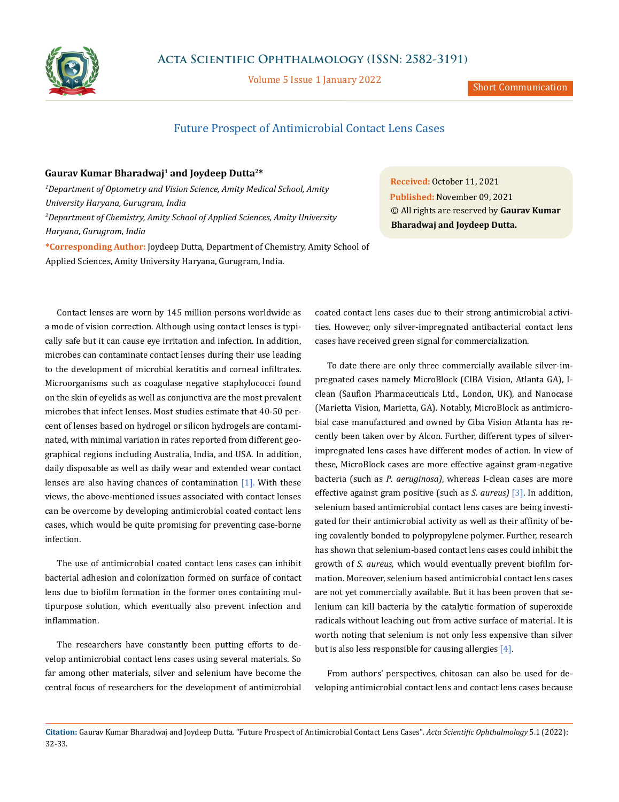

Volume 5 Issue 1 January 2022

## Future Prospect of Antimicrobial Contact Lens Cases

## **Gaurav Kumar Bharadwaj1 and Joydeep Dutta2\***

*1 Department of Optometry and Vision Science, Amity Medical School, Amity University Haryana, Gurugram, India 2 Department of Chemistry, Amity School of Applied Sciences, Amity University Haryana, Gurugram, India*

**\*Corresponding Author:** Joydeep Dutta, Department of Chemistry, Amity School of Applied Sciences, Amity University Haryana, Gurugram, India.

**Received:** October 11, 2021 **Published:** November 09, 2021 © All rights are reserved by **Gaurav Kumar Bharadwaj and Joydeep Dutta.**

Contact lenses are worn by 145 million persons worldwide as a mode of vision correction. Although using contact lenses is typically safe but it can cause eye irritation and infection. In addition, microbes can contaminate contact lenses during their use leading to the development of microbial keratitis and corneal infiltrates. Microorganisms such as coagulase negative staphylococci found on the skin of eyelids as well as conjunctiva are the most prevalent microbes that infect lenses. Most studies estimate that 40-50 percent of lenses based on hydrogel or silicon hydrogels are contaminated, with minimal variation in rates reported from different geographical regions including Australia, India, and USA. In addition, daily disposable as well as daily wear and extended wear contact lenses are also having chances of contamination [1]. With these views, the above-mentioned issues associated with contact lenses can be overcome by developing antimicrobial coated contact lens cases, which would be quite promising for preventing case-borne infection.

The use of antimicrobial coated contact lens cases can inhibit bacterial adhesion and colonization formed on surface of contact lens due to biofilm formation in the former ones containing multipurpose solution, which eventually also prevent infection and inflammation.

The researchers have constantly been putting efforts to develop antimicrobial contact lens cases using several materials. So far among other materials, silver and selenium have become the central focus of researchers for the development of antimicrobial coated contact lens cases due to their strong antimicrobial activities. However, only silver-impregnated antibacterial contact lens cases have received green signal for commercialization.

To date there are only three commercially available silver-impregnated cases namely MicroBlock (CIBA Vision, Atlanta GA), Iclean (Sauflon Pharmaceuticals Ltd., London, UK), and Nanocase (Marietta Vision, Marietta, GA). Notably, MicroBlock as antimicrobial case manufactured and owned by Ciba Vision Atlanta has recently been taken over by Alcon. Further, different types of silverimpregnated lens cases have different modes of action. In view of these, MicroBlock cases are more effective against gram-negative bacteria (such as *P*. *aeruginosa)*, whereas I-clean cases are more effective against gram positive (such as *S. aureus)* [3]. In addition, selenium based antimicrobial contact lens cases are being investigated for their antimicrobial activity as well as their affinity of being covalently bonded to polypropylene polymer. Further, research has shown that selenium-based contact lens cases could inhibit the growth of *S. aureus*, which would eventually prevent biofilm formation. Moreover, selenium based antimicrobial contact lens cases are not yet commercially available. But it has been proven that selenium can kill bacteria by the catalytic formation of superoxide radicals without leaching out from active surface of material. It is worth noting that selenium is not only less expensive than silver but is also less responsible for causing allergies [4].

From authors' perspectives, chitosan can also be used for developing antimicrobial contact lens and contact lens cases because

**Citation:** Gaurav Kumar Bharadwaj and Joydeep Dutta*.* "Future Prospect of Antimicrobial Contact Lens Cases". *Acta Scientific Ophthalmology* 5.1 (2022): 32-33.